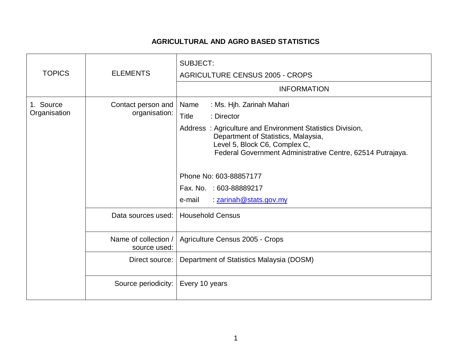## **AGRICULTURAL AND AGRO BASED STATISTICS**

| <b>TOPICS</b>             | <b>ELEMENTS</b>                      | <b>SUBJECT:</b><br><b>AGRICULTURE CENSUS 2005 - CROPS</b><br><b>INFORMATION</b>                                                                                                                                                                                                                                                                      |
|---------------------------|--------------------------------------|------------------------------------------------------------------------------------------------------------------------------------------------------------------------------------------------------------------------------------------------------------------------------------------------------------------------------------------------------|
| 1. Source<br>Organisation | Contact person and<br>organisation:  | : Ms. Hjh. Zarinah Mahari<br>Name<br>Title<br>: Director<br>Address: Agriculture and Environment Statistics Division,<br>Department of Statistics, Malaysia,<br>Level 5, Block C6, Complex C,<br>Federal Government Administrative Centre, 62514 Putrajaya.<br>Phone No: 603-88857177<br>Fax. No. : 603-88889217<br>: zarinah@stats.gov.my<br>e-mail |
|                           | Data sources used: I                 | <b>Household Census</b>                                                                                                                                                                                                                                                                                                                              |
|                           | Name of collection /<br>source used: | Agriculture Census 2005 - Crops                                                                                                                                                                                                                                                                                                                      |
|                           | Direct source:                       | Department of Statistics Malaysia (DOSM)                                                                                                                                                                                                                                                                                                             |
|                           | Source periodicity:                  | Every 10 years                                                                                                                                                                                                                                                                                                                                       |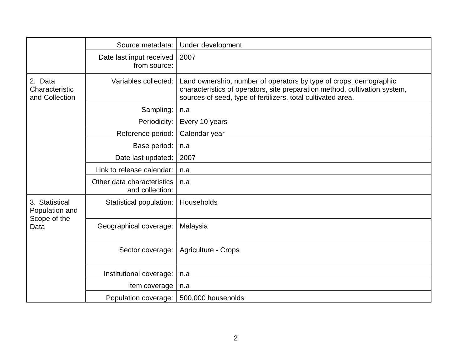|                                                          | Source metadata:                              | Under development                                                                                                                                                                                               |
|----------------------------------------------------------|-----------------------------------------------|-----------------------------------------------------------------------------------------------------------------------------------------------------------------------------------------------------------------|
|                                                          | Date last input received<br>from source:      | 2007                                                                                                                                                                                                            |
| 2. Data<br>Characteristic<br>and Collection              | Variables collected:                          | Land ownership, number of operators by type of crops, demographic<br>characteristics of operators, site preparation method, cultivation system,<br>sources of seed, type of fertilizers, total cultivated area. |
|                                                          | Sampling:                                     | n.a                                                                                                                                                                                                             |
|                                                          | Periodicity:                                  | Every 10 years                                                                                                                                                                                                  |
|                                                          | Reference period:                             | Calendar year                                                                                                                                                                                                   |
|                                                          | Base period:                                  | n.a                                                                                                                                                                                                             |
|                                                          | Date last updated:                            | 2007                                                                                                                                                                                                            |
|                                                          | Link to release calendar:                     | n.a                                                                                                                                                                                                             |
|                                                          | Other data characteristics<br>and collection: | n.a                                                                                                                                                                                                             |
| 3. Statistical<br>Population and<br>Scope of the<br>Data | Statistical population:                       | Households                                                                                                                                                                                                      |
|                                                          | Geographical coverage:                        | Malaysia                                                                                                                                                                                                        |
|                                                          | Sector coverage:                              | Agriculture - Crops                                                                                                                                                                                             |
|                                                          | Institutional coverage:                       | n.a                                                                                                                                                                                                             |
|                                                          | Item coverage                                 | n.a                                                                                                                                                                                                             |
|                                                          | Population coverage:                          | 500,000 households                                                                                                                                                                                              |